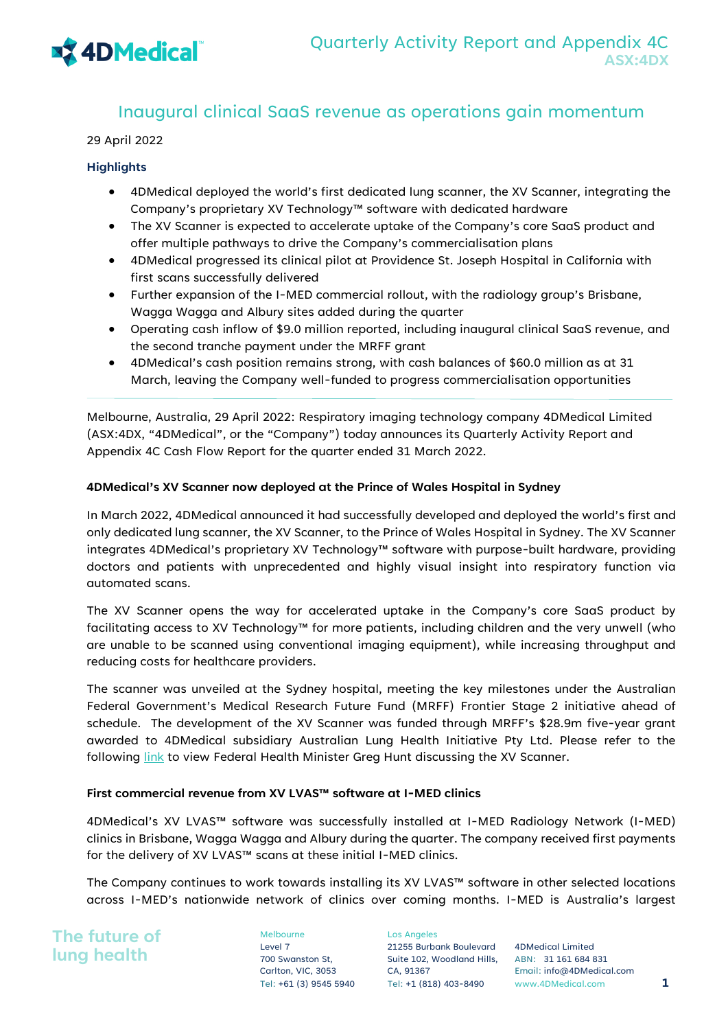

### Inaugural clinical SaaS revenue as operations gain momentum

#### 29 April 2022

#### **Highlights**

- 4DMedical deployed the world's first dedicated lung scanner, the XV Scanner, integrating the Company's proprietary XV Technology™ software with dedicated hardware
- The XV Scanner is expected to accelerate uptake of the Company's core SaaS product and offer multiple pathways to drive the Company's commercialisation plans
- 4DMedical progressed its clinical pilot at Providence St. Joseph Hospital in California with first scans successfully delivered
- Further expansion of the I-MED commercial rollout, with the radiology group's Brisbane, Wagga Wagga and Albury sites added during the quarter
- Operating cash inflow of \$9.0 million reported, including inaugural clinical SaaS revenue, and the second tranche payment under the MRFF grant
- 4DMedical's cash position remains strong, with cash balances of \$60.0 million as at 31 March, leaving the Company well-funded to progress commercialisation opportunities

Melbourne, Australia, 29 April 2022: Respiratory imaging technology company 4DMedical Limited (ASX:4DX, "4DMedical", or the "Company") today announces its Quarterly Activity Report and Appendix 4C Cash Flow Report for the quarter ended 31 March 2022.

#### **4DMedical's XV Scanner now deployed at the Prince of Wales Hospital in Sydney**

In March 2022, 4DMedical announced it had successfully developed and deployed the world's first and only dedicated lung scanner, the XV Scanner, to the Prince of Wales Hospital in Sydney. The XV Scanner integrates 4DMedical's proprietary XV Technology™ software with purpose-built hardware, providing doctors and patients with unprecedented and highly visual insight into respiratory function via automated scans.

The XV Scanner opens the way for accelerated uptake in the Company's core SaaS product by facilitating access to XV Technology™ for more patients, including children and the very unwell (who are unable to be scanned using conventional imaging equipment), while increasing throughput and reducing costs for healthcare providers.

The scanner was unveiled at the Sydney hospital, meeting the key milestones under the Australian Federal Government's Medical Research Future Fund (MRFF) Frontier Stage 2 initiative ahead of schedule. The development of the XV Scanner was funded through MRFF's \$28.9m five-year grant awarded to 4DMedical subsidiary Australian Lung Health Initiative Pty Ltd. Please refer to the following link to view Federal Health Minister Greg Hunt discussing the XV Scanner.

#### **First commercial revenue from XV LVAS™ software at I-MED clinics**

4DMedical's XV LVAS™ software was successfully installed at I-MED Radiology Network (I-MED) clinics in Brisbane, Wagga Wagga and Albury during the quarter. The company received first payments for the delivery of XV LVAS™ scans at these initial I-MED clinics.

The Company continues to work towards installing its XV LVAS™ software in other selected locations across I-MED's nationwide network of clinics over coming months. I-MED is Australia's largest

**The future of lung health**

Melbourne Level 7 700 Swanston St, Carlton, VIC, 3053

Los Angeles 21255 Burbank Boulevard Suite 102, Woodland Hills, ABN: 31 161 684 831 CA, 91367

4DMedical Limited Email: info@4DMedical.com Tel: +61 (3) 9545 5940 Tel: +1 (818) 403-8490 www.4DMedical.com **1**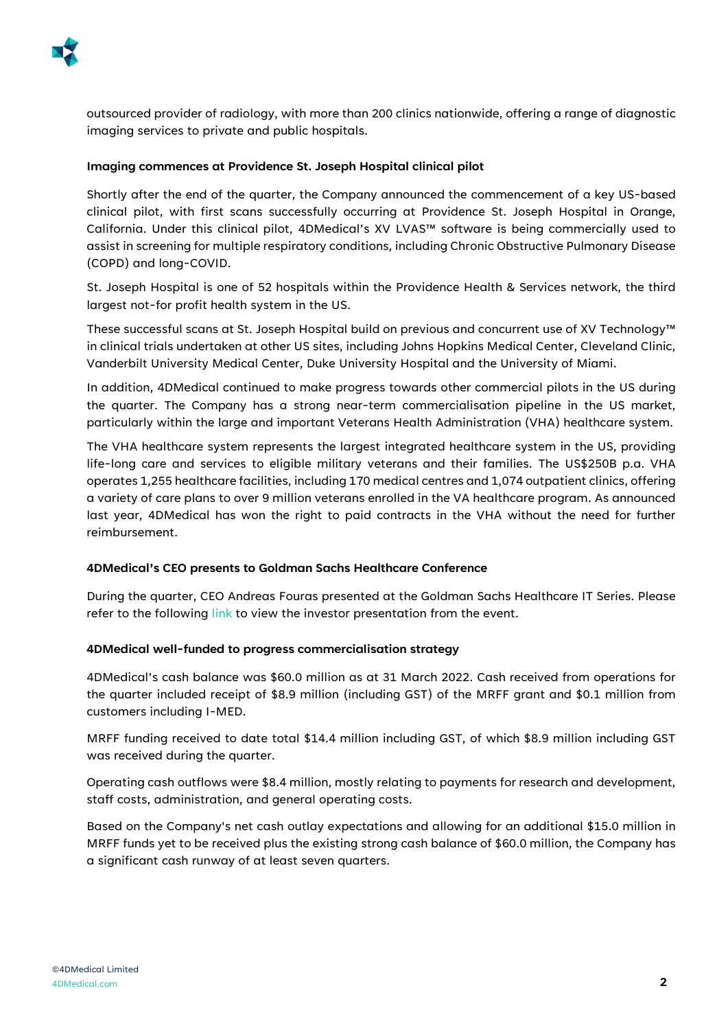

outsourced provider of radiology, with more than 200 clinics nationwide, offering a range of diagnostic imaging services to private and public hospitals.

### **Imaging commences at Providence St. Joseph Hospital clinical pilot**

Shortly after the end of the quarter, the Company announced the commencement of a key US-based clinical pilot, with first scans successfully occurring at Providence St. Joseph Hospital in Orange, California. Under this clinical pilot, 4DMedical's XV LVAS™ software is being commercially used to assist in screening for multiple respiratory conditions, including Chronic Obstructive Pulmonary Disease (COPD) and long-COVID.

St. Joseph Hospital is one of 52 hospitals within the Providence Health & Services network, the third largest not-for profit health system in the US.

These successful scans at St. Joseph Hospital build on previous and concurrent use of XV Technology™ in clinical trials undertaken at other US sites, including Johns Hopkins Medical Center, Cleveland Clinic, Vanderbilt University Medical Center, Duke University Hospital and the University of Miami.

In addition, 4DMedical continued to make progress towards other commercial pilots in the US during the quarter. The Company has a strong near-term commercialisation pipeline in the US market, particularly within the large and important Veterans Health Administration (VHA) healthcare system.

The VHA healthcare system represents the largest integrated healthcare system in the US, providing life-long care and services to eligible military veterans and their families. The US\$250B p.a. VHA operates 1,255 healthcare facilities, including 170 medical centres and 1,074 outpatient clinics, offering a variety of care plans to over 9 million veterans enrolled in the VA healthcare program. As announced last year, 4DMedical has won the right to paid contracts in the VHA without the need for further reimbursement.

#### **4DMedical's CEO presents to Goldman Sachs Healthcare Conference**

During the quarter, CEO Andreas Fouras presented at the Goldman Sachs Healthcare IT Series. Please refer to the following [link](https://www.youtube.com/watch?v=qXK_ir5_-b0) to view the investor presentation from the event.

#### **4DMedical well-funded to progress commercialisation strategy**

4DMedical's cash balance was \$60.0 million as at 31 March 2022. Cash received from operations for the quarter included receipt of \$8.9 million (including GST) of the MRFF grant and \$0.1 million from customers including I-MED.

MRFF funding received to date total \$14.4 million including GST, of which \$8.9 million including GST was received during the quarter.

Operating cash outflows were \$8.4 million, mostly relating to payments for research and development, staff costs, administration, and general operating costs.

Based on the Company's net cash outlay expectations and allowing for an additional \$15.0 million in MRFF funds yet to be received plus the existing strong cash balance of \$60.0 million, the Company has a significant cash runway of at least seven quarters.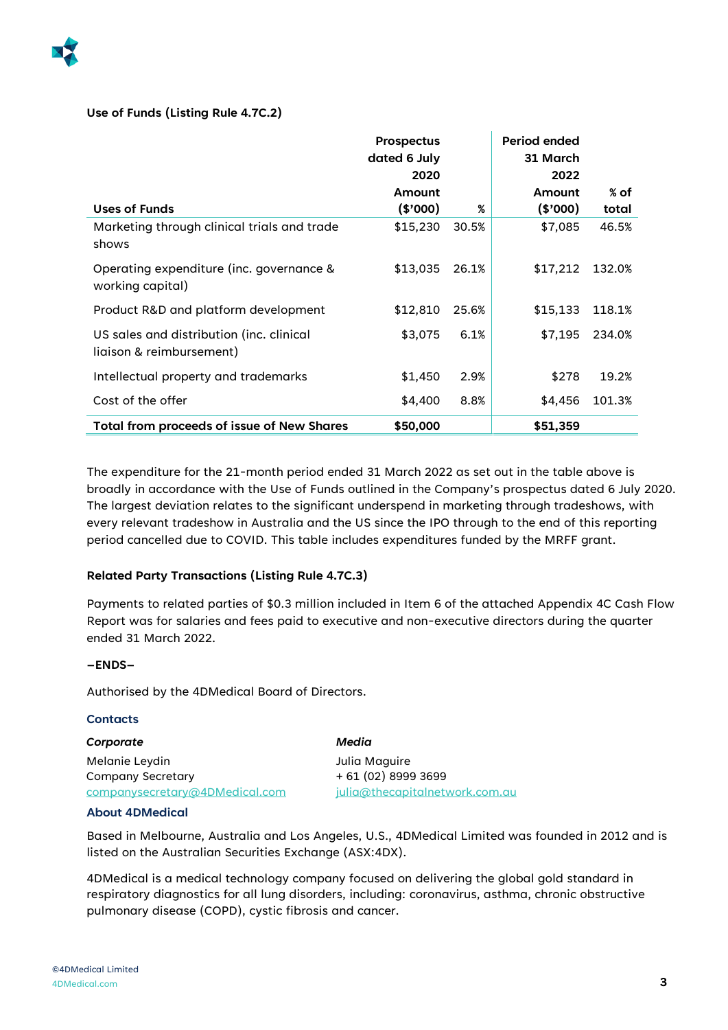

### **Use of Funds (Listing Rule 4.7C.2)**

|                                                                      | <b>Prospectus</b><br>dated 6 July |       | Period ended<br>31 March |        |
|----------------------------------------------------------------------|-----------------------------------|-------|--------------------------|--------|
|                                                                      | 2020                              |       | 2022                     |        |
|                                                                      | Amount                            |       | Amount                   | % of   |
| <b>Uses of Funds</b>                                                 | (\$000)                           | %     | (\$'000)                 | total  |
| Marketing through clinical trials and trade<br>shows                 | \$15,230                          | 30.5% | \$7,085                  | 46.5%  |
| Operating expenditure (inc. governance &<br>working capital)         | \$13,035                          | 26.1% | \$17,212                 | 132.0% |
| Product R&D and platform development                                 | \$12,810                          | 25.6% | \$15,133                 | 118.1% |
| US sales and distribution (inc. clinical<br>liaison & reimbursement) | \$3,075                           | 6.1%  | \$7,195                  | 234.0% |
| Intellectual property and trademarks                                 | \$1,450                           | 2.9%  | \$278                    | 19.2%  |
| Cost of the offer                                                    | \$4,400                           | 8.8%  | \$4,456                  | 101.3% |
| <b>Total from proceeds of issue of New Shares</b>                    | \$50,000                          |       | \$51,359                 |        |

The expenditure for the 21-month period ended 31 March 2022 as set out in the table above is broadly in accordance with the Use of Funds outlined in the Company's prospectus dated 6 July 2020. The largest deviation relates to the significant underspend in marketing through tradeshows, with every relevant tradeshow in Australia and the US since the IPO through to the end of this reporting period cancelled due to COVID. This table includes expenditures funded by the MRFF grant.

### **Related Party Transactions (Listing Rule 4.7C.3)**

Payments to related parties of \$0.3 million included in Item 6 of the attached Appendix 4C Cash Flow Report was for salaries and fees paid to executive and non-executive directors during the quarter ended 31 March 2022.

### **–ENDS–**

Authorised by the 4DMedical Board of Directors.

#### **Contacts**

*Corporate* Melanie Leydin Company Secretary companysecretary@4DMedical.com *Media* Julia Maguire + 61 (02) 8999 3699 julia@thecapitalnetwork.com.au

#### **About 4DMedical**

Based in Melbourne, Australia and Los Angeles, U.S., 4DMedical Limited was founded in 2012 and is listed on the Australian Securities Exchange (ASX:4DX).

4DMedical is a medical technology company focused on delivering the global gold standard in respiratory diagnostics for all lung disorders, including: coronavirus, asthma, chronic obstructive pulmonary disease (COPD), cystic fibrosis and cancer.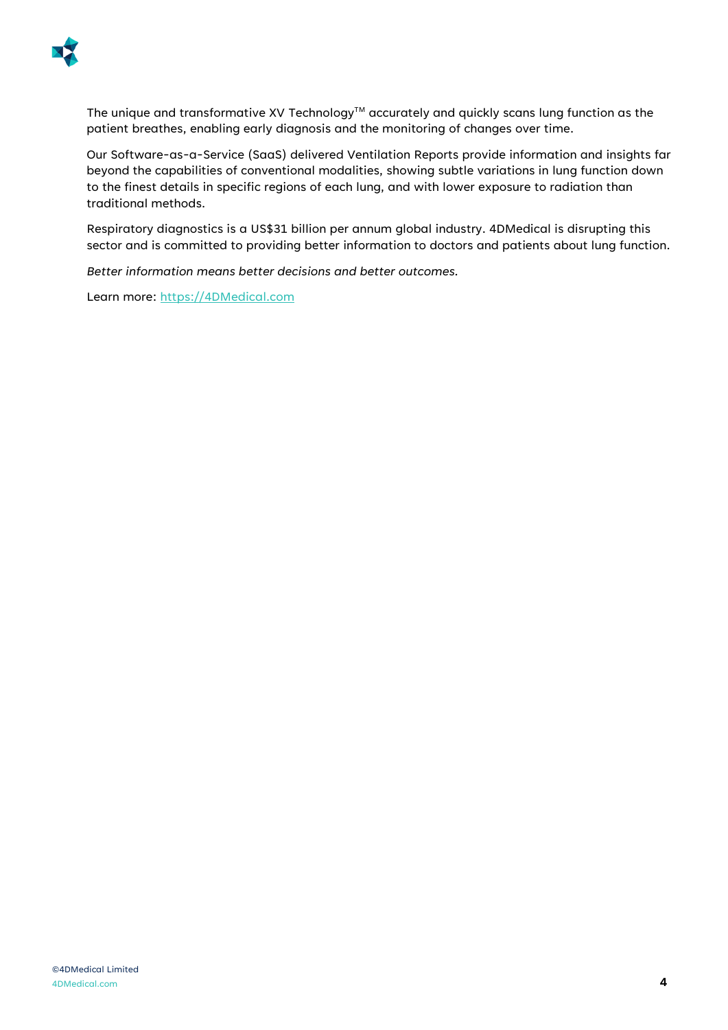

The unique and transformative XV Technology™ accurately and quickly scans lung function as the patient breathes, enabling early diagnosis and the monitoring of changes over time.

Our Software-as-a-Service (SaaS) delivered Ventilation Reports provide information and insights far beyond the capabilities of conventional modalities, showing subtle variations in lung function down to the finest details in specific regions of each lung, and with lower exposure to radiation than traditional methods.

Respiratory diagnostics is a US\$31 billion per annum global industry. 4DMedical is disrupting this sector and is committed to providing better information to doctors and patients about lung function.

*Better information means better decisions and better outcomes.* 

Learn more: https://4DMedical.com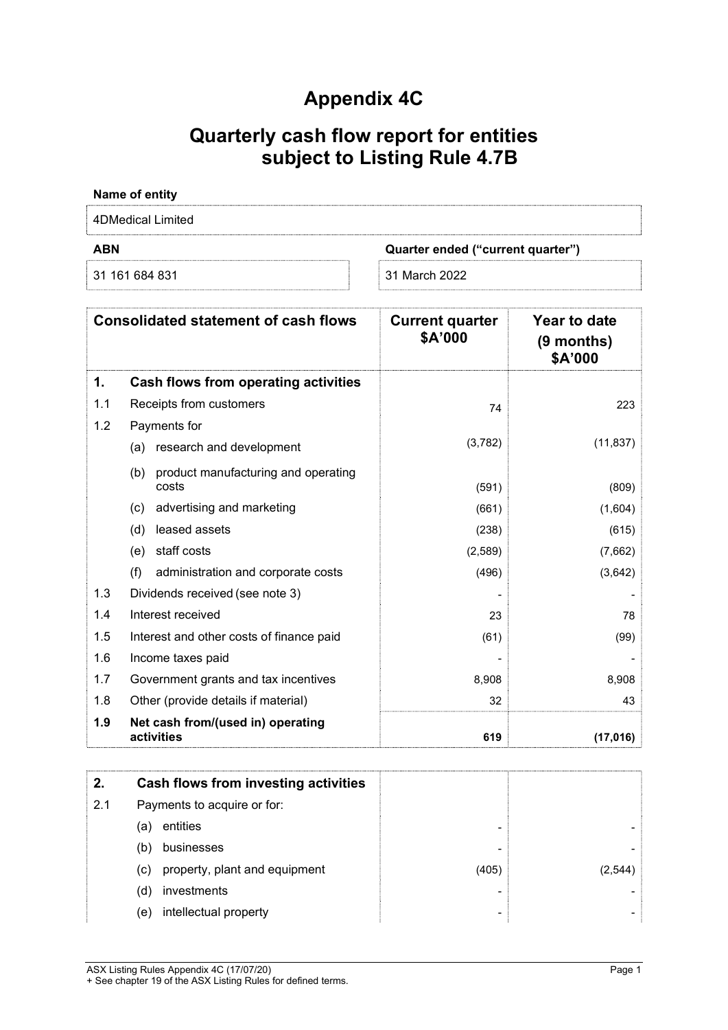## Appendix 4C

# Quarterly cash flow report for entities subject to Listing Rule 4.7B

| Name of entity    |                                   |
|-------------------|-----------------------------------|
| 4DMedical Limited |                                   |
| <b>ABN</b>        | Quarter ended ("current quarter") |
| 31 161 684 831    | 31 March 2022                     |

|     | <b>Consolidated statement of cash flows</b>         | <b>Current quarter</b><br>\$A'000 | Year to date<br>(9 months)<br>\$A'000 |
|-----|-----------------------------------------------------|-----------------------------------|---------------------------------------|
| 1.  | Cash flows from operating activities                |                                   |                                       |
| 1.1 | Receipts from customers                             | 74                                | 223                                   |
| 1.2 | Payments for                                        |                                   |                                       |
|     | (a) research and development                        | (3,782)                           | (11, 837)                             |
|     | product manufacturing and operating<br>(b)<br>costs | (591)                             | (809)                                 |
|     | advertising and marketing<br>(c)                    | (661)                             | (1,604)                               |
|     | leased assets<br>(d)                                | (238)                             | (615)                                 |
|     | staff costs<br>(e)                                  | (2,589)                           | (7,662)                               |
|     | (f)<br>administration and corporate costs           | (496)                             | (3,642)                               |
| 1.3 | Dividends received (see note 3)                     |                                   |                                       |
| 1.4 | Interest received                                   | 23                                | 78                                    |
| 1.5 | Interest and other costs of finance paid            | (61)                              | (99)                                  |
| 1.6 | Income taxes paid                                   |                                   |                                       |
| 1.7 | Government grants and tax incentives                | 8,908                             | 8,908                                 |
| 1.8 | Other (provide details if material)                 | 32                                | 43                                    |
| 1.9 | Net cash from/(used in) operating<br>activities     | 619                               | (17, 016)                             |

|     | Cash flows from investing activities |       |         |
|-----|--------------------------------------|-------|---------|
| 2.1 | Payments to acquire or for:          |       |         |
|     | entities<br>(a)                      |       |         |
|     | businesses<br>(b)                    |       |         |
|     | property, plant and equipment<br>(C) | (405) | (2.544) |
|     | investments<br>(d)                   |       |         |
|     | intellectual property<br>(e)         |       |         |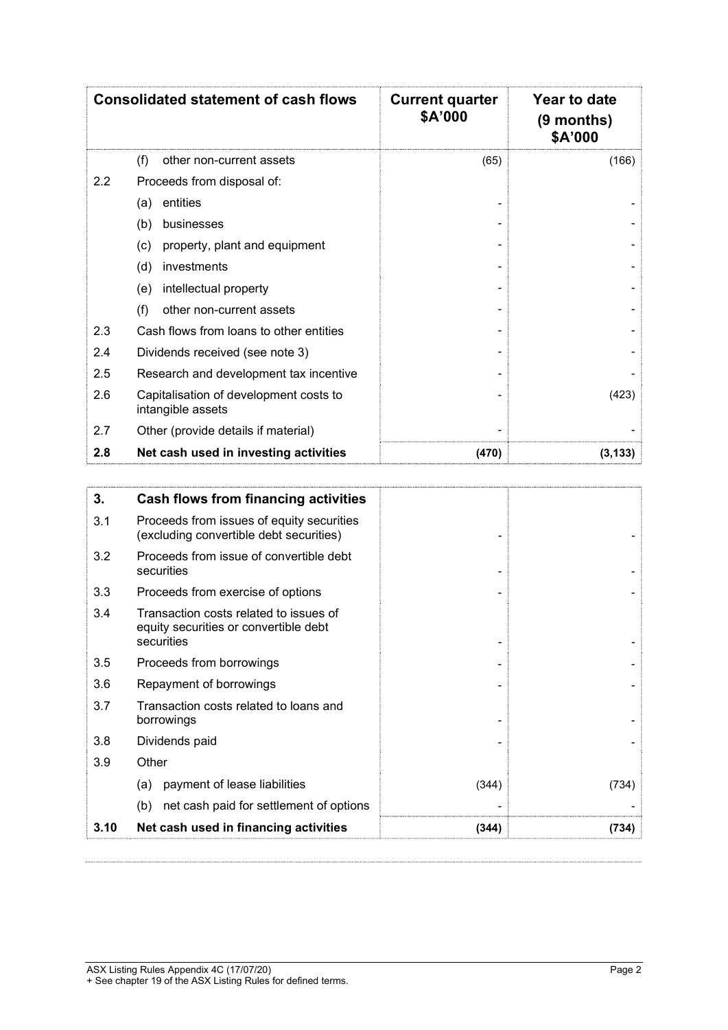|     | <b>Consolidated statement of cash flows</b>                 | <b>Current quarter</b><br>\$A'000 | Year to date<br>$(9$ months)<br>\$A'000 |
|-----|-------------------------------------------------------------|-----------------------------------|-----------------------------------------|
|     | (f)<br>other non-current assets                             | (65)                              | (166)                                   |
| 2.2 | Proceeds from disposal of:                                  |                                   |                                         |
|     | entities<br>(a)                                             |                                   |                                         |
|     | (b)<br>businesses                                           |                                   |                                         |
|     | property, plant and equipment<br>(c)                        |                                   |                                         |
|     | (d)<br>investments                                          |                                   |                                         |
|     | intellectual property<br>(e)                                |                                   |                                         |
|     | (f)<br>other non-current assets                             |                                   |                                         |
| 2.3 | Cash flows from loans to other entities                     |                                   |                                         |
| 2.4 | Dividends received (see note 3)                             |                                   |                                         |
| 2.5 | Research and development tax incentive                      |                                   |                                         |
| 2.6 | Capitalisation of development costs to<br>intangible assets |                                   | (423)                                   |
| 2.7 | Other (provide details if material)                         |                                   |                                         |
| 2.8 | Net cash used in investing activities                       | (470)                             | (3, 133)                                |

| 3.   | Cash flows from financing activities                                                          |       |       |
|------|-----------------------------------------------------------------------------------------------|-------|-------|
| 3.1  | Proceeds from issues of equity securities<br>(excluding convertible debt securities)          |       |       |
| 3.2  | Proceeds from issue of convertible debt<br>securities                                         |       |       |
| 3.3  | Proceeds from exercise of options                                                             |       |       |
| 3.4  | Transaction costs related to issues of<br>equity securities or convertible debt<br>securities |       |       |
| 3.5  | Proceeds from borrowings                                                                      |       |       |
| 3.6  | Repayment of borrowings                                                                       |       |       |
| 3.7  | Transaction costs related to loans and<br>borrowings                                          |       |       |
| 3.8  | Dividends paid                                                                                |       |       |
| 3.9  | Other                                                                                         |       |       |
|      | payment of lease liabilities<br>(a)                                                           | (344) | (734) |
|      | net cash paid for settlement of options<br>(b)                                                |       |       |
| 3.10 | Net cash used in financing activities                                                         | (344) | (734) |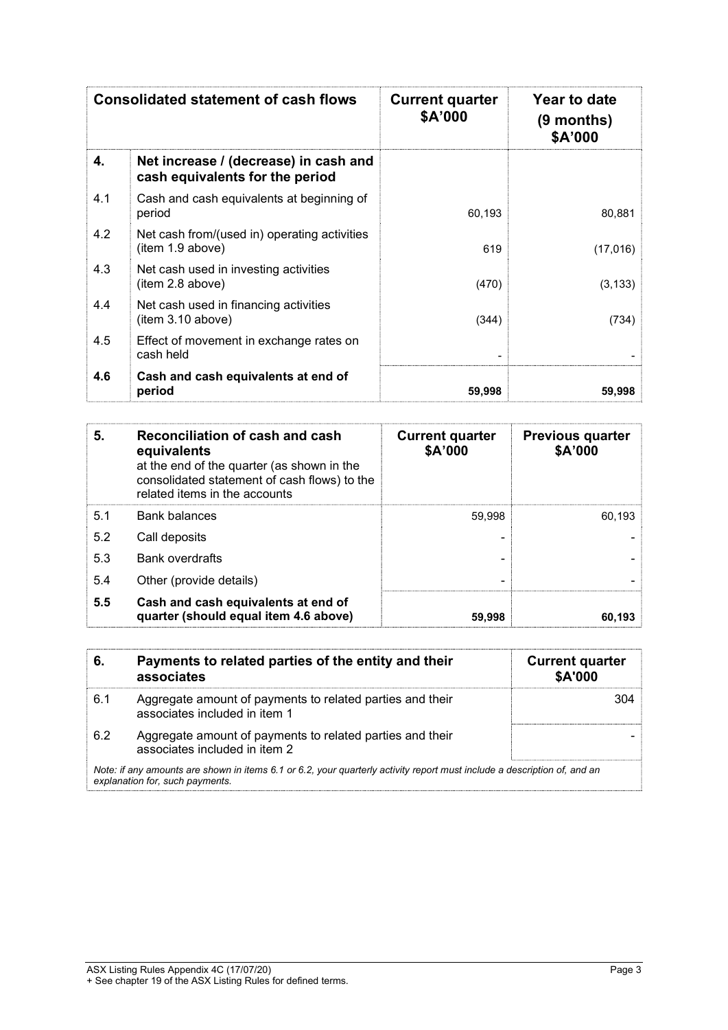|     | <b>Consolidated statement of cash flows</b>                              | <b>Current quarter</b><br>\$A'000 | Year to date<br>$(9$ months)<br>\$A'000 |
|-----|--------------------------------------------------------------------------|-----------------------------------|-----------------------------------------|
| 4.  | Net increase / (decrease) in cash and<br>cash equivalents for the period |                                   |                                         |
| 4.1 | Cash and cash equivalents at beginning of<br>period                      | 60,193                            | 80,881                                  |
| 4.2 | Net cash from/(used in) operating activities<br>(item 1.9 above)         | 619                               | (17,016)                                |
| 4.3 | Net cash used in investing activities<br>(item 2.8 above)                | (470)                             | (3, 133)                                |
| 4.4 | Net cash used in financing activities<br>(item 3.10 above)               | (344)                             | (734)                                   |
| 4.5 | Effect of movement in exchange rates on<br>cash held                     |                                   |                                         |
| 4.6 | Cash and cash equivalents at end of<br>period                            | 59,998                            | 59,998                                  |

| 5.  | Reconciliation of cash and cash<br>equivalents<br>at the end of the quarter (as shown in the<br>consolidated statement of cash flows) to the<br>related items in the accounts | <b>Current quarter</b><br>\$A'000 | <b>Previous quarter</b><br>\$A'000 |
|-----|-------------------------------------------------------------------------------------------------------------------------------------------------------------------------------|-----------------------------------|------------------------------------|
| 5.1 | <b>Bank balances</b>                                                                                                                                                          | 59.998                            | 60.193                             |
| 5.2 | Call deposits                                                                                                                                                                 |                                   |                                    |
| 5.3 | <b>Bank overdrafts</b>                                                                                                                                                        |                                   |                                    |
| 5.4 | Other (provide details)                                                                                                                                                       | -                                 |                                    |
| 5.5 | Cash and cash equivalents at end of<br>quarter (should equal item 4.6 above)                                                                                                  | 59,998                            | 60,193                             |

| 6.                                                                                                                                                          | Payments to related parties of the entity and their<br>associates                          | <b>Current quarter</b><br>\$A'000 |
|-------------------------------------------------------------------------------------------------------------------------------------------------------------|--------------------------------------------------------------------------------------------|-----------------------------------|
| 6.1                                                                                                                                                         | Aggregate amount of payments to related parties and their<br>associates included in item 1 | 304                               |
| 6.2                                                                                                                                                         | Aggregate amount of payments to related parties and their<br>associates included in item 2 |                                   |
| Note: if any amounts are shown in items 6.1 or 6.2, your quarterly activity report must include a description of, and an<br>explanation for, such payments. |                                                                                            |                                   |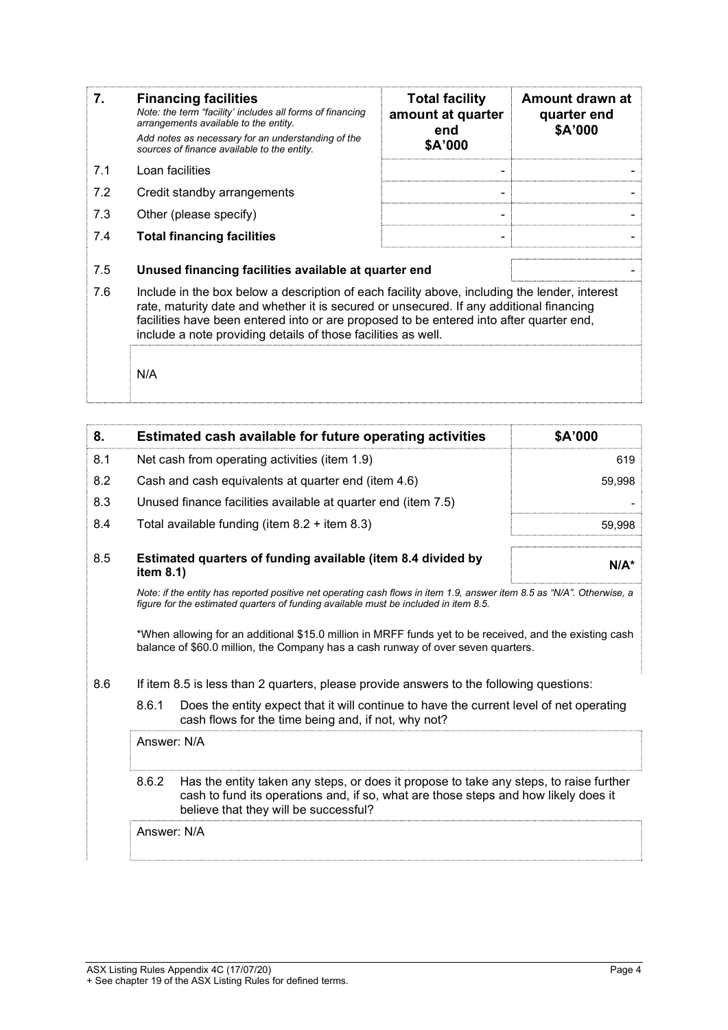| 7.  | <b>Financing facilities</b><br>Note: the term "facility' includes all forms of financing<br>arrangements available to the entity.<br>Add notes as necessary for an understanding of the<br>sources of finance available to the entity.                                                                                                               | <b>Total facility</b><br>amount at quarter<br>end<br>\$A'000 | Amount drawn at<br>quarter end<br>\$A'000 |
|-----|------------------------------------------------------------------------------------------------------------------------------------------------------------------------------------------------------------------------------------------------------------------------------------------------------------------------------------------------------|--------------------------------------------------------------|-------------------------------------------|
| 7.1 | Loan facilities                                                                                                                                                                                                                                                                                                                                      |                                                              |                                           |
| 7.2 | Credit standby arrangements                                                                                                                                                                                                                                                                                                                          |                                                              |                                           |
| 7.3 | Other (please specify)                                                                                                                                                                                                                                                                                                                               |                                                              |                                           |
| 7.4 | <b>Total financing facilities</b>                                                                                                                                                                                                                                                                                                                    |                                                              |                                           |
| 7.5 | Unused financing facilities available at quarter end                                                                                                                                                                                                                                                                                                 |                                                              |                                           |
| 7.6 | Include in the box below a description of each facility above, including the lender, interest<br>rate, maturity date and whether it is secured or unsecured. If any additional financing<br>facilities have been entered into or are proposed to be entered into after quarter end,<br>include a note providing details of those facilities as well. |                                                              |                                           |
|     | N/A                                                                                                                                                                                                                                                                                                                                                  |                                                              |                                           |

| 8.  | Estimated cash available for future operating activities                                                                                                                                                                        | \$A'000 |  |
|-----|---------------------------------------------------------------------------------------------------------------------------------------------------------------------------------------------------------------------------------|---------|--|
| 8.1 | Net cash from operating activities (item 1.9)                                                                                                                                                                                   | 619     |  |
| 8.2 | Cash and cash equivalents at quarter end (item 4.6)                                                                                                                                                                             | 59,998  |  |
| 8.3 | Unused finance facilities available at quarter end (item 7.5)                                                                                                                                                                   |         |  |
| 8.4 | Total available funding (item $8.2 +$ item $8.3$ )                                                                                                                                                                              | 59,998  |  |
| 8.5 | Estimated quarters of funding available (item 8.4 divided by<br>item 8.1)                                                                                                                                                       | $N/A^*$ |  |
|     | Note: if the entity has reported positive net operating cash flows in item 1.9, answer item 8.5 as "N/A". Otherwise, a<br>figure for the estimated quarters of funding available must be included in item 8.5.                  |         |  |
|     | *When allowing for an additional \$15.0 million in MRFF funds yet to be received, and the existing cash<br>balance of \$60.0 million, the Company has a cash runway of over seven quarters.                                     |         |  |
| 8.6 | If item 8.5 is less than 2 quarters, please provide answers to the following questions:                                                                                                                                         |         |  |
|     | 8.6.1<br>Does the entity expect that it will continue to have the current level of net operating<br>cash flows for the time being and, if not, why not?                                                                         |         |  |
|     | Answer: N/A                                                                                                                                                                                                                     |         |  |
|     | 8.6.2<br>Has the entity taken any steps, or does it propose to take any steps, to raise further<br>cash to fund its operations and, if so, what are those steps and how likely does it<br>believe that they will be successful? |         |  |
|     | Answer: N/A                                                                                                                                                                                                                     |         |  |